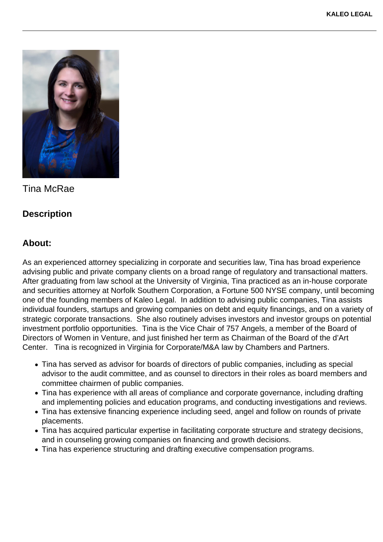

Tina McRae

## **Description**

## **About:**

As an experienced attorney specializing in corporate and securities law, Tina has broad experience advising public and private company clients on a broad range of regulatory and transactional matters. After graduating from law school at the University of Virginia, Tina practiced as an in-house corporate and securities attorney at Norfolk Southern Corporation, a Fortune 500 NYSE company, until becoming one of the founding members of Kaleo Legal. In addition to advising public companies, Tina assists individual founders, startups and growing companies on debt and equity financings, and on a variety of strategic corporate transactions. She also routinely advises investors and investor groups on potential investment portfolio opportunities. Tina is the Vice Chair of 757 Angels, a member of the Board of Directors of Women in Venture, and just finished her term as Chairman of the Board of the d'Art Center. Tina is recognized in Virginia for Corporate/M&A law by Chambers and Partners.

- Tina has served as advisor for boards of directors of public companies, including as special advisor to the audit committee, and as counsel to directors in their roles as board members and committee chairmen of public companies.
- Tina has experience with all areas of compliance and corporate governance, including drafting and implementing policies and education programs, and conducting investigations and reviews.
- Tina has extensive financing experience including seed, angel and follow on rounds of private placements.
- Tina has acquired particular expertise in facilitating corporate structure and strategy decisions, and in counseling growing companies on financing and growth decisions.
- Tina has experience structuring and drafting executive compensation programs.